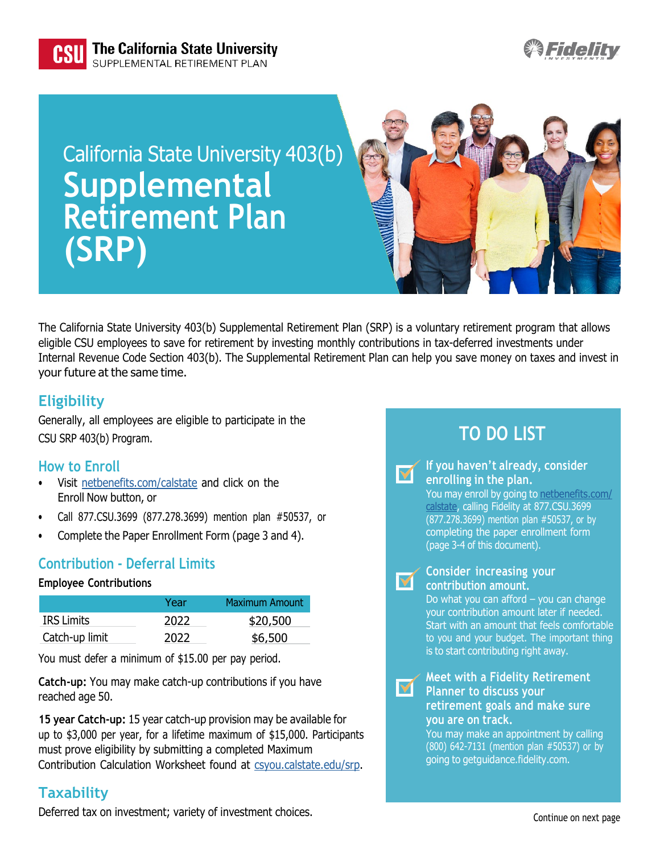

**The California State University** SUPPLEMENTAL RETIREMENT PLAN

California State University 403(b) **Supplemental Retirement Plan (SRP)**



The California State University 403(b) Supplemental Retirement Plan (SRP) is a voluntary retirement program that allows eligible CSU employees to save for retirement by investing monthly contributions in tax-deferred investments under Internal Revenue Code Section 403(b). The Supplemental Retirement Plan can help you save money on taxes and invest in your future at the same time.

 $\blacktriangledown$ 

V

## **Eligibility**

Generally, all employees are eligible to participate in the CSU SRP 403(b) Program.

## **How to Enroll**

- Visit [netbenefits.com/calstate](http://netbenefits.com/calstate) and click on the Enroll Now button, or
- Call 877.CSU.3699 (877.278.3699) mention plan #50537, or
- Complete the Paper Enrollment Form (page 3 and 4).

# **Contribution - Deferral Limits**

#### **Employee Contributions**

|                | Year | <b>Maximum Amount</b> |
|----------------|------|-----------------------|
| IRS Limits     | 2022 | \$20,500              |
| Catch-up limit | 2022 | \$6,500               |

You must defer a minimum of \$15.00 per pay period.

**Catch-up:** You may make catch-up contributions if you have reached age 50.

**15 year Catch-up:** 15 year catch-up provision may be available for up to \$3,000 per year, for a lifetime maximum of \$15,000. Participants must prove eligibility by submitting a completed Maximum Contribution Calculation Worksheet found at [csyou.calstate.edu/srp.](http://csyou.calstate.edu/srp)

# **Taxability**

Deferred tax on investment; variety of investment choices. Continue on next page



**If you haven't already, consider enrolling in the plan.** You may enroll by going to [netbenefits.com/](http://netbenefits.com/calstate) [calstate,](http://netbenefits.com/calstate) calling Fidelity at 877.CSU.3699 (877.278.3699) mention plan #50537, or by completing the paper enrollment form (page 3-4 of this document). **Consider increasing your contribution amount.** Do what you can afford  $-$  you can change your contribution amount later if needed. Start with an amount that feels comfortable to you and your budget. The important thing is to start contributing right away. **Meet with a Fidelity Retirement Planner to discuss your retirement goals and make sure you are on track.** You may make an appointment by calling (800) 642-7131 (mention plan #50537) or by going to [getguidance.fidelity.com.](http://getguidance.fidelity.com/)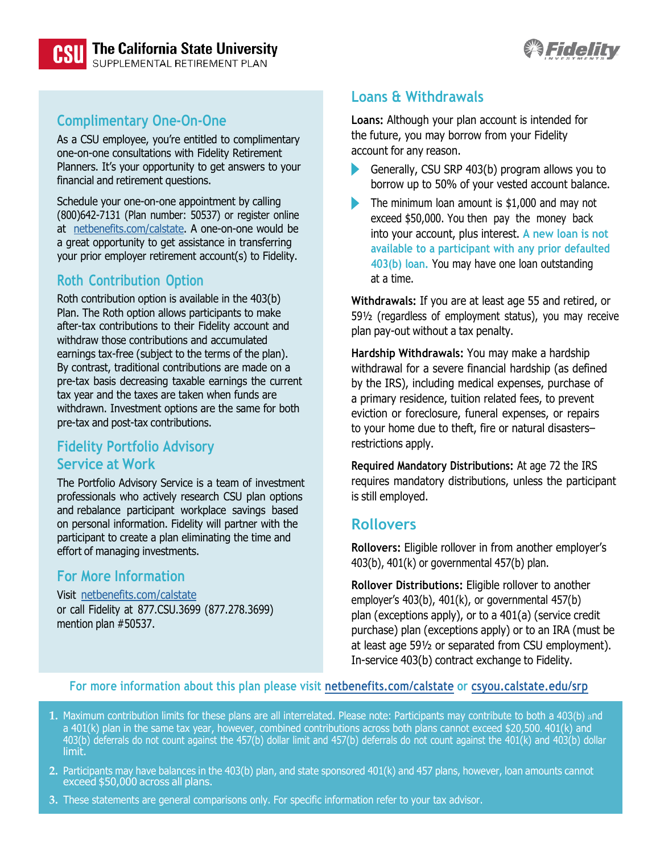# **Complimentary One-On-One**

As a CSU employee, you're entitled to complimentary one-on-one consultations with Fidelity Retirement Planners. It's your opportunity to get answers to your financial and retirement questions.

Schedule your one-on-one appointment by calling (800)642-7131 (Plan number: 50537) or register online at [netbenefits.com/calstate.](http://netbenefits.com/calstate) A one-on-one would be a great opportunity to get assistance in transferring your prior employer retirement account(s) to Fidelity.

## **Roth Contribution Option**

Roth contribution option is available in the 403(b) Plan. The Roth option allows participants to make after-tax contributions to their Fidelity account and withdraw those contributions and accumulated earnings tax-free (subject to the terms of the plan). By contrast, traditional contributions are made on a pre-tax basis decreasing taxable earnings the current tax year and the taxes are taken when funds are withdrawn. Investment options are the same for both pre-tax and post-tax contributions.

## **Fidelity Portfolio Advisory Service at Work**

The Portfolio Advisory Service is a team of investment professionals who actively research CSU plan options and rebalance participant workplace savings based on personal information. Fidelity will partner with the participant to create a plan eliminating the time and effort of managing investments.

## **For More Information**

Visit [netbenefits.com/calstate](http://netbenefits.com/calstate) or call Fidelity at 877.CSU.3699 (877.278.3699) mention plan #50537.

# **Loans & Withdrawals**

**Loans:** Although your plan account is intended for the future, you may borrow from your Fidelity account for any reason.

- Generally, CSU SRP 403(b) program allows you to borrow up to 50% of your vested account balance.
- The minimum loan amount is \$1,000 and may not exceed \$50,000. You then pay the money back into your account, plus interest. **A new loan is not available to a participant with any prior defaulted 403(b) loan.** You may have one loan outstanding at a time.

**Withdrawals:** If you are at least age 55 and retired, or 59½ (regardless of employment status), you may receive plan pay-out without a tax penalty.

**Hardship Withdrawals:** You may make a hardship withdrawal for a severe financial hardship (as defined by the IRS), including medical expenses, purchase of a primary residence, tuition related fees, to prevent eviction or foreclosure, funeral expenses, or repairs to your home due to theft, fire or natural disasters– restrictions apply.

**Required Mandatory Distributions:** At age 72 the IRS requires mandatory distributions, unless the participant is still employed.

## **Rollovers**

**Rollovers:** Eligible rollover in from another employer's 403(b), 401(k) or governmental 457(b) plan.

**Rollover Distributions:** Eligible rollover to another employer's 403(b), 401(k), or governmental 457(b) plan (exceptions apply), or to a 401(a) (service credit purchase) plan (exceptions apply) or to an IRA (must be at least age 59½ or separated from CSU employment). In-service 403(b) contract exchange to Fidelity.

## **For more information about this plan please visit [netbenefits.com/calstate](http://netbenefits.com/calstate) or [csyou.calstate.edu/srp](http://csyou.calstate.edu/SRP)**

- **1.** Maximum contribution limits for these plans are all interrelated. Please note: Participants may contribute to both a 403(b) and a 401(k) plan in the same tax year, however, combined contributions across both plans cannot exceed \$20,500. 401(k) and 403(b) deferrals do not count against the 457(b) dollar limit and 457(b) deferrals do not count against the 401(k) and 403(b) dollar limit.
- **2.** Participants may have balances in the 403(b) plan, and state sponsored 401(k) and 457 plans, however, loan amounts cannot exceed \$50,000 across all plans.
- **3.** These statements are general comparisons only. For specific information refer to your tax advisor.



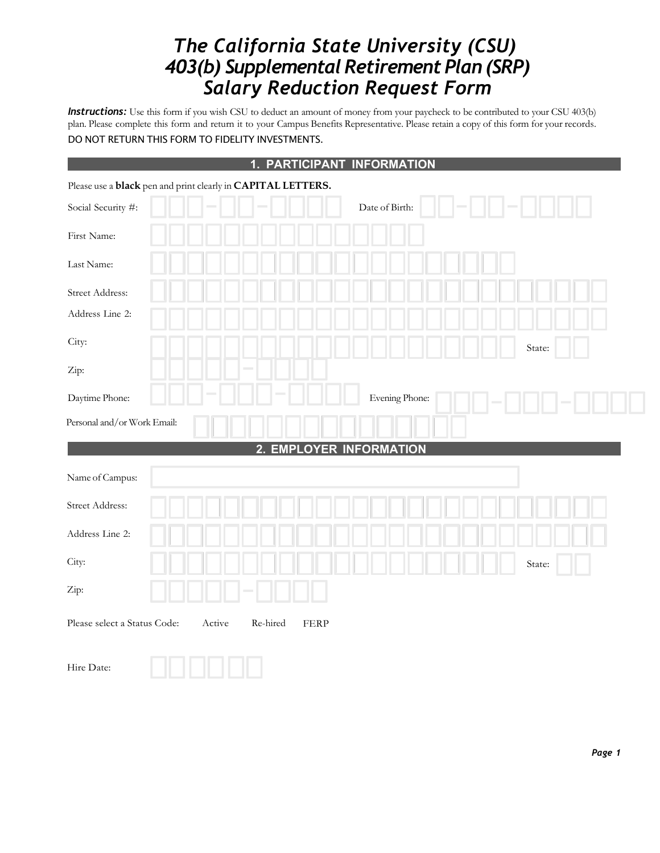# *The California State University (CSU) 403(b) Supplemental Retirement Plan (SRP) Salary Reduction Request Form*

*Instructions:* Use this form if you wish CSU to deduct an amount of money from your paycheck to be contributed to your CSU 403(b) plan. Please complete this form and return it to your Campus Benefits Representative. Please retain a copy of this form for your records.

#### DO NOT RETURN THIS FORM TO FIDELITY INVESTMENTS.

|                              | 1. PARTICIPANT INFORMATION                                                 |        |
|------------------------------|----------------------------------------------------------------------------|--------|
|                              | Please use a <b>black</b> pen and print clearly in <b>CAPITAL LETTERS.</b> |        |
| Social Security #:           | Date of Birth:                                                             |        |
| First Name:                  |                                                                            |        |
| Last Name:                   |                                                                            |        |
| Street Address:              |                                                                            |        |
| Address Line 2:              |                                                                            |        |
| City:                        |                                                                            | State: |
| Zip:                         |                                                                            |        |
| Daytime Phone:               | Evening Phone:                                                             |        |
| Personal and/or Work Email:  |                                                                            |        |
|                              | 2. EMPLOYER INFORMATION                                                    |        |
| Name of Campus:              |                                                                            |        |
| Street Address:              |                                                                            |        |
| Address Line 2:              |                                                                            |        |
| City:                        |                                                                            | State: |
| Zip:                         |                                                                            |        |
| Please select a Status Code: | Re-hired<br>Active<br>FERP                                                 |        |
| m m                          |                                                                            |        |

Hire Date: